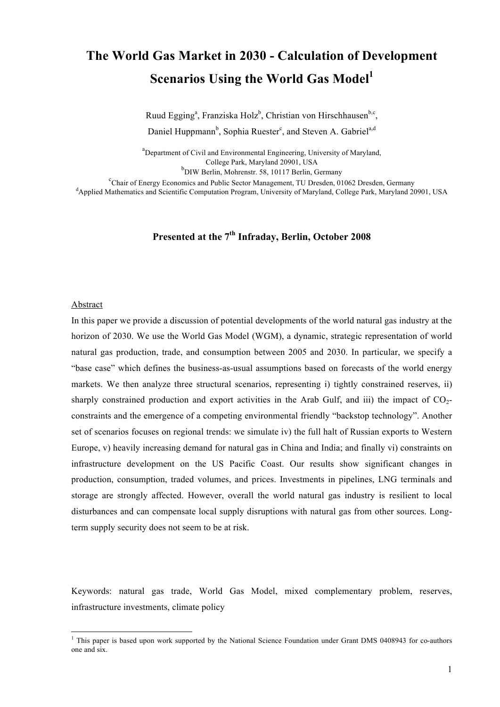# **The World Gas Market in 2030 - Calculation of Development Scenarios Using the World Gas Model**<sup>1</sup>

Ruud Egging<sup>a</sup>, Franziska Holz<sup>b</sup>, Christian von Hirschhausen<sup>b,c</sup>,

Daniel Huppmann<sup>b</sup>, Sophia Ruester<sup>e</sup>, and Steven A. Gabriel<sup>a,d</sup>

<sup>a</sup>Department of Civil and Environmental Engineering, University of Maryland, College Park, Maryland 20901, USA

b DIW Berlin, Mohrenstr. 58, 10117 Berlin, Germany

<sup>c</sup>Chair of Energy Economics and Public Sector Management, TU Dresden, 01062 Dresden, Germany d Applied Mathematics and Scientific Computation Program, University of Maryland, College Park, Maryland 20901, USA

# **Presented at the 7th Infraday, Berlin, October 2008**

#### Abstract

In this paper we provide a discussion of potential developments of the world natural gas industry at the horizon of 2030. We use the World Gas Model (WGM), a dynamic, strategic representation of world natural gas production, trade, and consumption between 2005 and 2030. In particular, we specify a "base case" which defines the business-as-usual assumptions based on forecasts of the world energy markets. We then analyze three structural scenarios, representing i) tightly constrained reserves, ii) sharply constrained production and export activities in the Arab Gulf, and iii) the impact of  $CO<sub>2</sub>$ constraints and the emergence of a competing environmental friendly "backstop technology". Another set of scenarios focuses on regional trends: we simulate iv) the full halt of Russian exports to Western Europe, v) heavily increasing demand for natural gas in China and India; and finally vi) constraints on infrastructure development on the US Pacific Coast. Our results show significant changes in production, consumption, traded volumes, and prices. Investments in pipelines, LNG terminals and storage are strongly affected. However, overall the world natural gas industry is resilient to local disturbances and can compensate local supply disruptions with natural gas from other sources. Longterm supply security does not seem to be at risk.

Keywords: natural gas trade, World Gas Model, mixed complementary problem, reserves, infrastructure investments, climate policy

<sup>|&</sup>lt;br>|<br>|  $<sup>1</sup>$  This paper is based upon work supported by the National Science Foundation under Grant DMS 0408943 for co-authors</sup> one and six.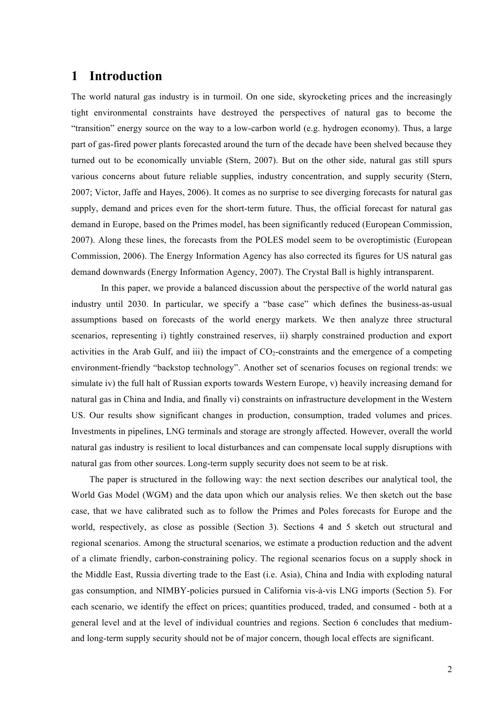### **1 Introduction**

The world natural gas industry is in turmoil. On one side, skyrocketing prices and the increasingly tight environmental constraints have destroyed the perspectives of natural gas to become the "transition" energy source on the way to a low-carbon world (e.g. hydrogen economy). Thus, a large part of gas-fired power plants forecasted around the turn of the decade have been shelved because they turned out to be economically unviable (Stern, 2007). But on the other side, natural gas still spurs various concerns about future reliable supplies, industry concentration, and supply security (Stern, 2007; Victor, Jaffe and Hayes, 2006). It comes as no surprise to see diverging forecasts for natural gas supply, demand and prices even for the short-term future. Thus, the official forecast for natural gas demand in Europe, based on the Primes model, has been significantly reduced (European Commission, 2007). Along these lines, the forecasts from the POLES model seem to be overoptimistic (European Commission, 2006). The Energy Information Agency has also corrected its figures for US natural gas demand downwards (Energy Information Agency, 2007). The Crystal Ball is highly intransparent.

In this paper, we provide a balanced discussion about the perspective of the world natural gas industry until 2030. In particular, we specify a "base case" which defines the business-as-usual assumptions based on forecasts of the world energy markets. We then analyze three structural scenarios, representing i) tightly constrained reserves, ii) sharply constrained production and export activities in the Arab Gulf, and iii) the impact of  $CO<sub>2</sub>$ -constraints and the emergence of a competing environment-friendly "backstop technology". Another set of scenarios focuses on regional trends: we simulate iv) the full halt of Russian exports towards Western Europe, v) heavily increasing demand for natural gas in China and India, and finally vi) constraints on infrastructure development in the Western US. Our results show significant changes in production, consumption, traded volumes and prices. Investments in pipelines, LNG terminals and storage are strongly affected. However, overall the world natural gas industry is resilient to local disturbances and can compensate local supply disruptions with natural gas from other sources. Long-term supply security does not seem to be at risk.

The paper is structured in the following way: the next section describes our analytical tool, the World Gas Model (WGM) and the data upon which our analysis relies. We then sketch out the base case, that we have calibrated such as to follow the Primes and Poles forecasts for Europe and the world, respectively, as close as possible (Section 3). Sections 4 and 5 sketch out structural and regional scenarios. Among the structural scenarios, we estimate a production reduction and the advent of a climate friendly, carbon-constraining policy. The regional scenarios focus on a supply shock in the Middle East, Russia diverting trade to the East (i.e. Asia), China and India with exploding natural gas consumption, and NIMBY-policies pursued in California vis-à-vis LNG imports (Section 5). For each scenario, we identify the effect on prices; quantities produced, traded, and consumed - both at a general level and at the level of individual countries and regions. Section 6 concludes that mediumand long-term supply security should not be of major concern, though local effects are significant.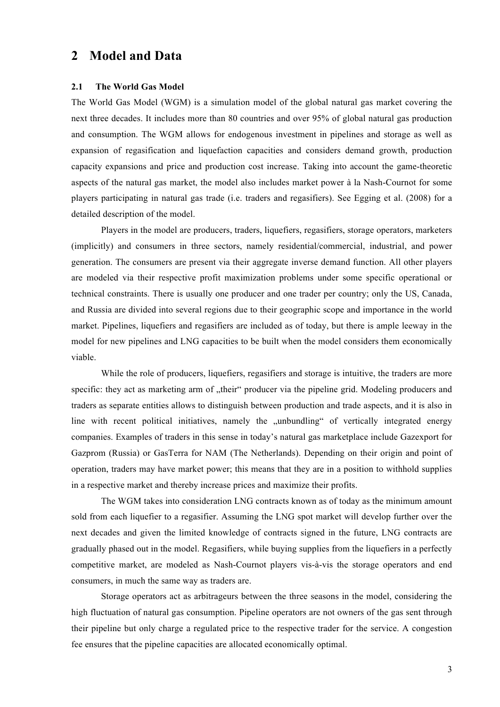### **2 Model and Data**

#### **2.1 The World Gas Model**

The World Gas Model (WGM) is a simulation model of the global natural gas market covering the next three decades. It includes more than 80 countries and over 95% of global natural gas production and consumption. The WGM allows for endogenous investment in pipelines and storage as well as expansion of regasification and liquefaction capacities and considers demand growth, production capacity expansions and price and production cost increase. Taking into account the game-theoretic aspects of the natural gas market, the model also includes market power à la Nash-Cournot for some players participating in natural gas trade (i.e. traders and regasifiers). See Egging et al. (2008) for a detailed description of the model.

Players in the model are producers, traders, liquefiers, regasifiers, storage operators, marketers (implicitly) and consumers in three sectors, namely residential/commercial, industrial, and power generation. The consumers are present via their aggregate inverse demand function. All other players are modeled via their respective profit maximization problems under some specific operational or technical constraints. There is usually one producer and one trader per country; only the US, Canada, and Russia are divided into several regions due to their geographic scope and importance in the world market. Pipelines, liquefiers and regasifiers are included as of today, but there is ample leeway in the model for new pipelines and LNG capacities to be built when the model considers them economically viable.

While the role of producers, liquefiers, regasifiers and storage is intuitive, the traders are more specific: they act as marketing arm of "their" producer via the pipeline grid. Modeling producers and traders as separate entities allows to distinguish between production and trade aspects, and it is also in line with recent political initiatives, namely the "unbundling" of vertically integrated energy companies. Examples of traders in this sense in today's natural gas marketplace include Gazexport for Gazprom (Russia) or GasTerra for NAM (The Netherlands). Depending on their origin and point of operation, traders may have market power; this means that they are in a position to withhold supplies in a respective market and thereby increase prices and maximize their profits.

The WGM takes into consideration LNG contracts known as of today as the minimum amount sold from each liquefier to a regasifier. Assuming the LNG spot market will develop further over the next decades and given the limited knowledge of contracts signed in the future, LNG contracts are gradually phased out in the model. Regasifiers, while buying supplies from the liquefiers in a perfectly competitive market, are modeled as Nash-Cournot players vis-à-vis the storage operators and end consumers, in much the same way as traders are.

Storage operators act as arbitrageurs between the three seasons in the model, considering the high fluctuation of natural gas consumption. Pipeline operators are not owners of the gas sent through their pipeline but only charge a regulated price to the respective trader for the service. A congestion fee ensures that the pipeline capacities are allocated economically optimal.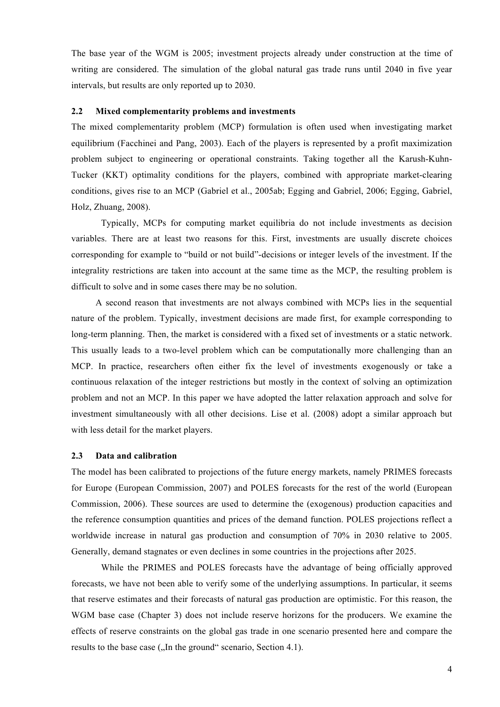The base year of the WGM is 2005; investment projects already under construction at the time of writing are considered. The simulation of the global natural gas trade runs until 2040 in five year intervals, but results are only reported up to 2030.

#### **2.2 Mixed complementarity problems and investments**

The mixed complementarity problem (MCP) formulation is often used when investigating market equilibrium (Facchinei and Pang, 2003). Each of the players is represented by a profit maximization problem subject to engineering or operational constraints. Taking together all the Karush-Kuhn-Tucker (KKT) optimality conditions for the players, combined with appropriate market-clearing conditions, gives rise to an MCP (Gabriel et al., 2005ab; Egging and Gabriel, 2006; Egging, Gabriel, Holz, Zhuang, 2008).

Typically, MCPs for computing market equilibria do not include investments as decision variables. There are at least two reasons for this. First, investments are usually discrete choices corresponding for example to "build or not build"-decisions or integer levels of the investment. If the integrality restrictions are taken into account at the same time as the MCP, the resulting problem is difficult to solve and in some cases there may be no solution.

A second reason that investments are not always combined with MCPs lies in the sequential nature of the problem. Typically, investment decisions are made first, for example corresponding to long-term planning. Then, the market is considered with a fixed set of investments or a static network. This usually leads to a two-level problem which can be computationally more challenging than an MCP. In practice, researchers often either fix the level of investments exogenously or take a continuous relaxation of the integer restrictions but mostly in the context of solving an optimization problem and not an MCP. In this paper we have adopted the latter relaxation approach and solve for investment simultaneously with all other decisions. Lise et al. (2008) adopt a similar approach but with less detail for the market players.

#### **2.3 Data and calibration**

The model has been calibrated to projections of the future energy markets, namely PRIMES forecasts for Europe (European Commission, 2007) and POLES forecasts for the rest of the world (European Commission, 2006). These sources are used to determine the (exogenous) production capacities and the reference consumption quantities and prices of the demand function. POLES projections reflect a worldwide increase in natural gas production and consumption of 70% in 2030 relative to 2005. Generally, demand stagnates or even declines in some countries in the projections after 2025.

While the PRIMES and POLES forecasts have the advantage of being officially approved forecasts, we have not been able to verify some of the underlying assumptions. In particular, it seems that reserve estimates and their forecasts of natural gas production are optimistic. For this reason, the WGM base case (Chapter 3) does not include reserve horizons for the producers. We examine the effects of reserve constraints on the global gas trade in one scenario presented here and compare the results to the base case ("In the ground" scenario, Section 4.1).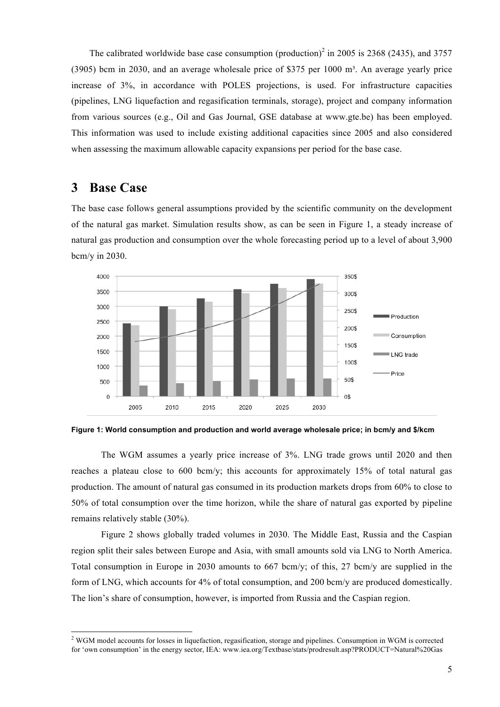The calibrated worldwide base case consumption (production)<sup>2</sup> in 2005 is 2368 (2435), and 3757  $(3905)$  bcm in 2030, and an average wholesale price of \$375 per 1000 m<sup>3</sup>. An average yearly price increase of 3%, in accordance with POLES projections, is used. For infrastructure capacities (pipelines, LNG liquefaction and regasification terminals, storage), project and company information from various sources (e.g., Oil and Gas Journal, GSE database at www.gte.be) has been employed. This information was used to include existing additional capacities since 2005 and also considered when assessing the maximum allowable capacity expansions per period for the base case.

### **3 Base Case**

The base case follows general assumptions provided by the scientific community on the development of the natural gas market. Simulation results show, as can be seen in Figure 1, a steady increase of natural gas production and consumption over the whole forecasting period up to a level of about 3,900 bcm/y in 2030.





The WGM assumes a yearly price increase of 3%. LNG trade grows until 2020 and then reaches a plateau close to 600 bcm/y; this accounts for approximately 15% of total natural gas production. The amount of natural gas consumed in its production markets drops from 60% to close to 50% of total consumption over the time horizon, while the share of natural gas exported by pipeline remains relatively stable (30%).

Figure 2 shows globally traded volumes in 2030. The Middle East, Russia and the Caspian region split their sales between Europe and Asia, with small amounts sold via LNG to North America. Total consumption in Europe in 2030 amounts to 667 bcm/y; of this, 27 bcm/y are supplied in the form of LNG, which accounts for 4% of total consumption, and 200 bcm/y are produced domestically. The lion's share of consumption, however, is imported from Russia and the Caspian region.

 $\frac{1}{2}$ <sup>2</sup> WGM model accounts for losses in liquefaction, regasification, storage and pipelines. Consumption in WGM is corrected for 'own consumption' in the energy sector, IEA: www.iea.org/Textbase/stats/prodresult.asp?PRODUCT=Natural%20Gas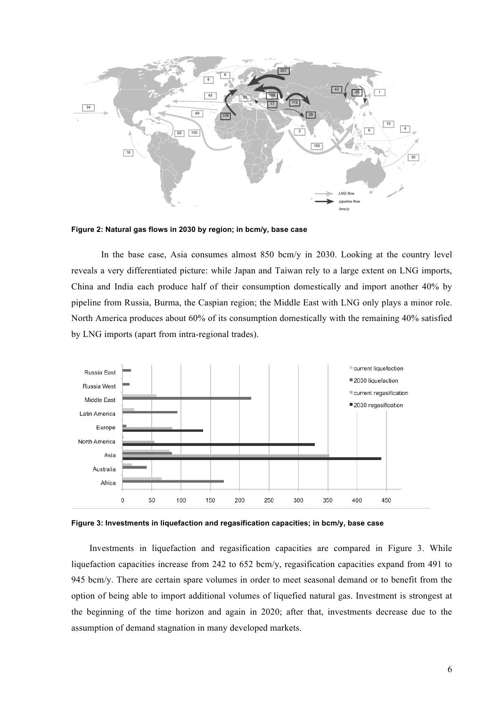

**Figure 2: Natural gas flows in 2030 by region; in bcm/y, base case**

In the base case. Asia consumes almost 850 bcm/y in 2030. Looking at the country level reveals a very differentiated picture: while Japan and Taiwan rely to a large extent on LNG imports, China and India each produce half of their consumption domestically and import another 40% by pipeline from Russia, Burma, the Caspian region; the Middle East with LNG only plays a minor role. North America produces about 60% of its consumption domestically with the remaining 40% satisfied by LNG imports (apart from intra-regional trades).



**Figure 3: Investments in liquefaction and regasification capacities; in bcm/y, base case**

Investments in liquefaction and regasification capacities are compared in Figure 3. While liquefaction capacities increase from 242 to 652 bcm/y, regasification capacities expand from 491 to 945 bcm/y. There are certain spare volumes in order to meet seasonal demand or to benefit from the option of being able to import additional volumes of liquefied natural gas. Investment is strongest at the beginning of the time horizon and again in 2020; after that, investments decrease due to the assumption of demand stagnation in many developed markets.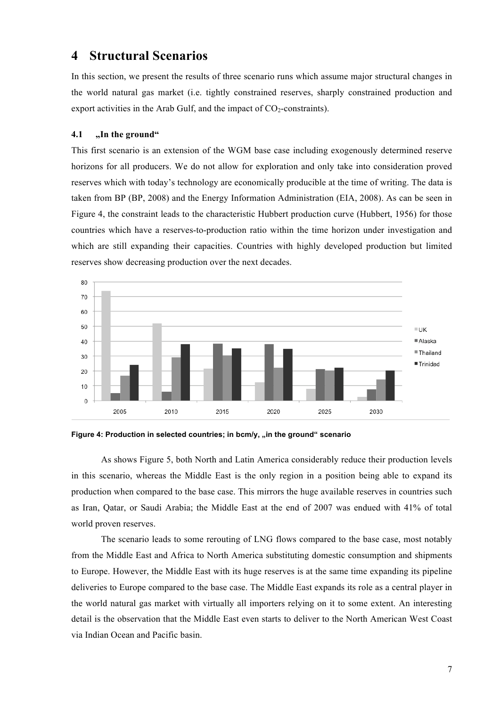### **4 Structural Scenarios**

In this section, we present the results of three scenario runs which assume major structural changes in the world natural gas market (i.e. tightly constrained reserves, sharply constrained production and export activities in the Arab Gulf, and the impact of  $CO_2$ -constraints).

#### **4.1 "In the ground"**

This first scenario is an extension of the WGM base case including exogenously determined reserve horizons for all producers. We do not allow for exploration and only take into consideration proved reserves which with today's technology are economically producible at the time of writing. The data is taken from BP (BP, 2008) and the Energy Information Administration (EIA, 2008). As can be seen in Figure 4, the constraint leads to the characteristic Hubbert production curve (Hubbert, 1956) for those countries which have a reserves-to-production ratio within the time horizon under investigation and which are still expanding their capacities. Countries with highly developed production but limited reserves show decreasing production over the next decades.



Figure 4: Production in selected countries; in bcm/y, "in the ground" scenario

As shows Figure 5, both North and Latin America considerably reduce their production levels in this scenario, whereas the Middle East is the only region in a position being able to expand its production when compared to the base case. This mirrors the huge available reserves in countries such as Iran, Qatar, or Saudi Arabia; the Middle East at the end of 2007 was endued with 41% of total world proven reserves.

The scenario leads to some rerouting of LNG flows compared to the base case, most notably from the Middle East and Africa to North America substituting domestic consumption and shipments to Europe. However, the Middle East with its huge reserves is at the same time expanding its pipeline deliveries to Europe compared to the base case. The Middle East expands its role as a central player in the world natural gas market with virtually all importers relying on it to some extent. An interesting detail is the observation that the Middle East even starts to deliver to the North American West Coast via Indian Ocean and Pacific basin.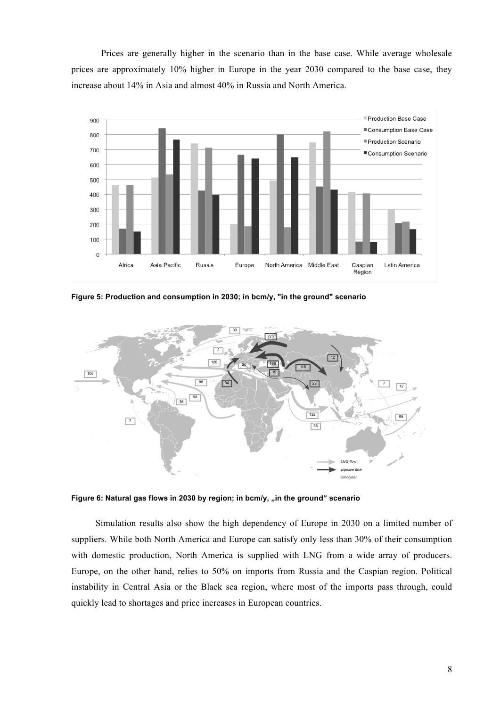Prices are generally higher in the scenario than in the base case. While average wholesale prices are approximately 10% higher in Europe in the year 2030 compared to the base case, they increase about 14% in Asia and almost 40% in Russia and North America.



**Figure 5: Production and consumption in 2030; in bcm/y, "in the ground" scenario**



Figure 6: Natural gas flows in 2030 by region; in bcm/y, "in the ground" scenario

Simulation results also show the high dependency of Europe in 2030 on a limited number of suppliers. While both North America and Europe can satisfy only less than 30% of their consumption with domestic production, North America is supplied with LNG from a wide array of producers. Europe, on the other hand, relies to 50% on imports from Russia and the Caspian region. Political instability in Central Asia or the Black sea region, where most of the imports pass through, could quickly lead to shortages and price increases in European countries.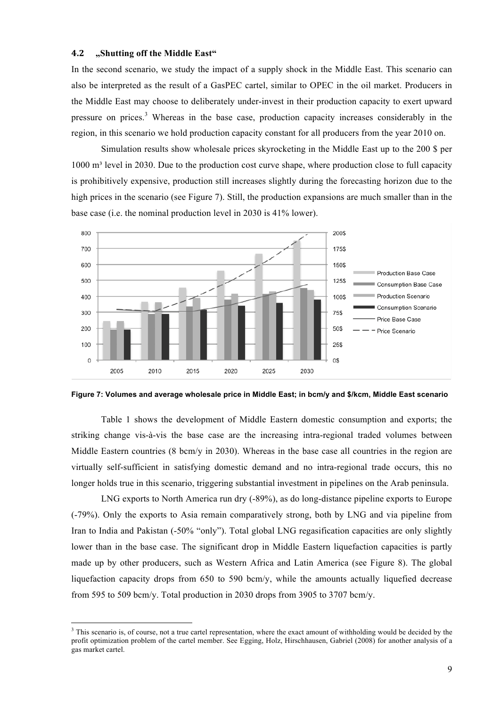#### **!"# "Shutting off the Middle East"**

In the second scenario, we study the impact of a supply shock in the Middle East. This scenario can also be interpreted as the result of a GasPEC cartel, similar to OPEC in the oil market. Producers in the Middle East may choose to deliberately under-invest in their production capacity to exert upward pressure on prices.<sup>3</sup> Whereas in the base case, production capacity increases considerably in the region, in this scenario we hold production capacity constant for all producers from the year 2010 on.

Simulation results show wholesale prices skyrocketing in the Middle East up to the 200 \$ per 1000 m<sup>3</sup> level in 2030. Due to the production cost curve shape, where production close to full capacity is prohibitively expensive, production still increases slightly during the forecasting horizon due to the high prices in the scenario (see Figure 7). Still, the production expansions are much smaller than in the base case (i.e. the nominal production level in 2030 is 41% lower).





Table 1 shows the development of Middle Eastern domestic consumption and exports; the striking change vis-à-vis the base case are the increasing intra-regional traded volumes between Middle Eastern countries (8 bcm/y in 2030). Whereas in the base case all countries in the region are virtually self-sufficient in satisfying domestic demand and no intra-regional trade occurs, this no longer holds true in this scenario, triggering substantial investment in pipelines on the Arab peninsula.

LNG exports to North America run dry (-89%), as do long-distance pipeline exports to Europe (-79%). Only the exports to Asia remain comparatively strong, both by LNG and via pipeline from Iran to India and Pakistan (-50% "only"). Total global LNG regasification capacities are only slightly lower than in the base case. The significant drop in Middle Eastern liquefaction capacities is partly made up by other producers, such as Western Africa and Latin America (see Figure 8). The global liquefaction capacity drops from 650 to 590 bcm/y, while the amounts actually liquefied decrease from 595 to 509 bcm/v. Total production in 2030 drops from 3905 to 3707 bcm/v.

 <sup>3</sup>  $3$  This scenario is, of course, not a true cartel representation, where the exact amount of withholding would be decided by the profit optimization problem of the cartel member. See Egging, Holz, Hirschhausen, Gabriel (2008) for another analysis of a gas market cartel.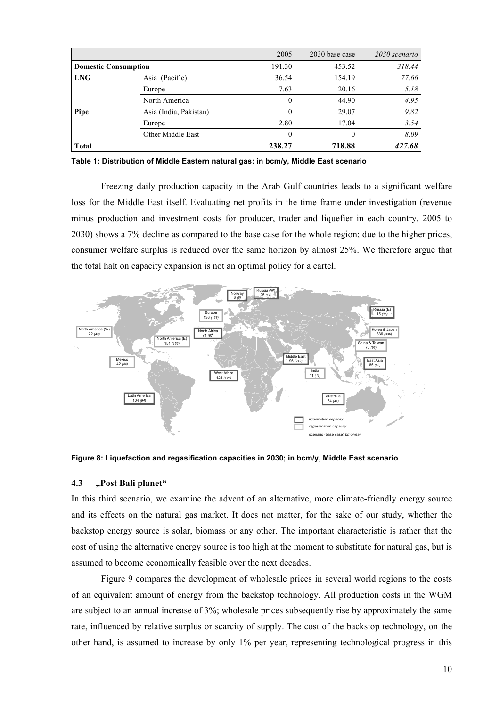|                             |                        | 2005     | 2030 base case | 2030 scenario |
|-----------------------------|------------------------|----------|----------------|---------------|
| <b>Domestic Consumption</b> |                        | 191.30   | 453.52         | 318.44        |
| <b>LNG</b>                  | Asia (Pacific)         | 36.54    | 154.19         | 77.66         |
|                             | Europe                 | 7.63     | 20.16          | 5.18          |
|                             | North America          |          | 44.90          | 4.95          |
| Pipe                        | Asia (India, Pakistan) |          | 29.07          | 9.82          |
|                             | Europe                 | 2.80     | 17.04          | 3.54          |
|                             | Other Middle East      | $\theta$ |                | 8.09          |
| <b>Total</b>                |                        | 238.27   | 718.88         | 427.68        |

**Table 1: Distribution of Middle Eastern natural gas; in bcm/y, Middle East scenario**

Freezing daily production capacity in the Arab Gulf countries leads to a significant welfare loss for the Middle East itself. Evaluating net profits in the time frame under investigation (revenue minus production and investment costs for producer, trader and liquefier in each country, 2005 to 2030) shows a 7% decline as compared to the base case for the whole region; due to the higher prices, consumer welfare surplus is reduced over the same horizon by almost 25%. We therefore argue that the total halt on capacity expansion is not an optimal policy for a cartel.



**Figure 8: Liquefaction and regasification capacities in 2030; in bcm/y, Middle East scenario**

#### **4.3 "Post Bali planet"**

In this third scenario, we examine the advent of an alternative, more climate-friendly energy source and its effects on the natural gas market. It does not matter, for the sake of our study, whether the backstop energy source is solar, biomass or any other. The important characteristic is rather that the cost of using the alternative energy source is too high at the moment to substitute for natural gas, but is assumed to become economically feasible over the next decades.

Figure 9 compares the development of wholesale prices in several world regions to the costs of an equivalent amount of energy from the backstop technology. All production costs in the WGM are subject to an annual increase of 3%; wholesale prices subsequently rise by approximately the same rate, influenced by relative surplus or scarcity of supply. The cost of the backstop technology, on the other hand, is assumed to increase by only 1% per year, representing technological progress in this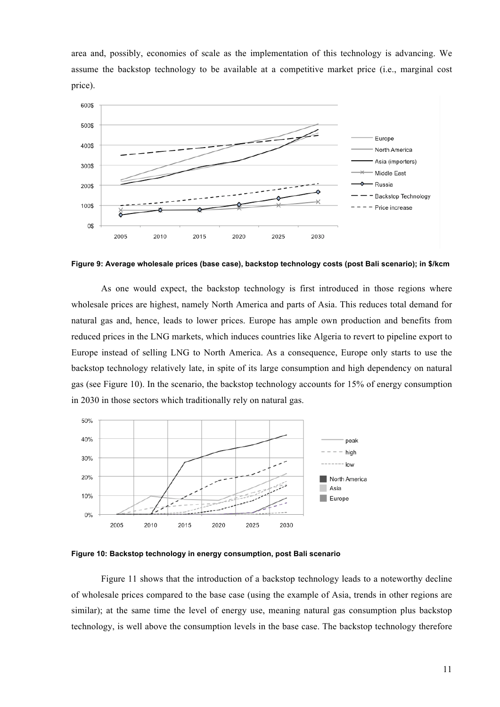area and, possibly, economies of scale as the implementation of this technology is advancing. We assume the backstop technology to be available at a competitive market price (i.e., marginal cost price).



**Figure 9: Average wholesale prices (base case), backstop technology costs (post Bali scenario); in \$/kcm**

As one would expect, the backstop technology is first introduced in those regions where wholesale prices are highest, namely North America and parts of Asia. This reduces total demand for natural gas and, hence, leads to lower prices. Europe has ample own production and benefits from reduced prices in the LNG markets, which induces countries like Algeria to revert to pipeline export to Europe instead of selling LNG to North America. As a consequence, Europe only starts to use the backstop technology relatively late, in spite of its large consumption and high dependency on natural gas (see Figure 10). In the scenario, the backstop technology accounts for 15% of energy consumption in 2030 in those sectors which traditionally rely on natural gas.



**Figure 10: Backstop technology in energy consumption, post Bali scenario**

Figure 11 shows that the introduction of a backstop technology leads to a noteworthy decline of wholesale prices compared to the base case (using the example of Asia, trends in other regions are similar); at the same time the level of energy use, meaning natural gas consumption plus backstop technology, is well above the consumption levels in the base case. The backstop technology therefore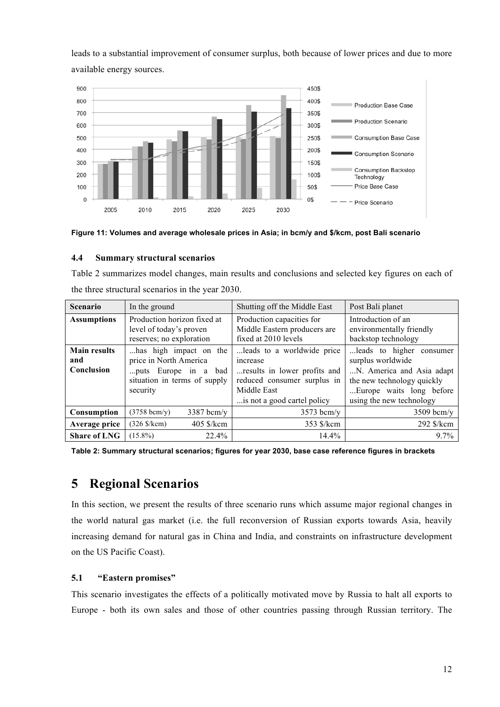leads to a substantial improvement of consumer surplus, both because of lower prices and due to more available energy sources.





#### **4.4 Summary structural scenarios**

Table 2 summarizes model changes, main results and conclusions and selected key figures on each of the three structural scenarios in the year 2030.

| <b>Scenario</b>                          | In the ground                                                                                                        | Shutting off the Middle East                                                                                                                        | Post Bali planet                                                                                                                                                    |  |
|------------------------------------------|----------------------------------------------------------------------------------------------------------------------|-----------------------------------------------------------------------------------------------------------------------------------------------------|---------------------------------------------------------------------------------------------------------------------------------------------------------------------|--|
| <b>Assumptions</b>                       | Production horizon fixed at<br>level of today's proven<br>reserves; no exploration                                   | Production capacities for<br>Middle Eastern producers are<br>fixed at 2010 levels                                                                   | Introduction of an<br>environmentally friendly<br>backstop technology                                                                                               |  |
| <b>Main results</b><br>and<br>Conclusion | has high impact on the<br>price in North America<br>puts Europe in a bad<br>situation in terms of supply<br>security | leads to a worldwide price<br>increase<br>results in lower profits and<br>reduced consumer surplus in<br>Middle East<br>is not a good cartel policy | leads to higher<br>consumer<br>surplus worldwide<br>N. America and Asia adapt<br>the new technology quickly<br>Europe waits long before<br>using the new technology |  |
| Consumption                              | $(3758 \text{ bcm/y})$<br>$3387$ bcm/y                                                                               | $3573$ bcm/y                                                                                                                                        | $3509$ bcm/y                                                                                                                                                        |  |
| Average price                            | $(326 \text{ %/kcm})$<br>$405$ \$/kcm                                                                                | 353 \$/kcm                                                                                                                                          | 292 \$/kcm                                                                                                                                                          |  |
| <b>Share of LNG</b>                      | $(15.8\%)$<br>22.4%                                                                                                  | $14.4\%$                                                                                                                                            | $9.7\%$                                                                                                                                                             |  |

**Table 2: Summary structural scenarios; figures for year 2030, base case reference figures in brackets**

# **5 Regional Scenarios**

In this section, we present the results of three scenario runs which assume major regional changes in the world natural gas market (i.e. the full reconversion of Russian exports towards Asia, heavily increasing demand for natural gas in China and India, and constraints on infrastructure development on the US Pacific Coast).

#### **5.1 "Eastern promises"**

This scenario investigates the effects of a politically motivated move by Russia to halt all exports to Europe - both its own sales and those of other countries passing through Russian territory. The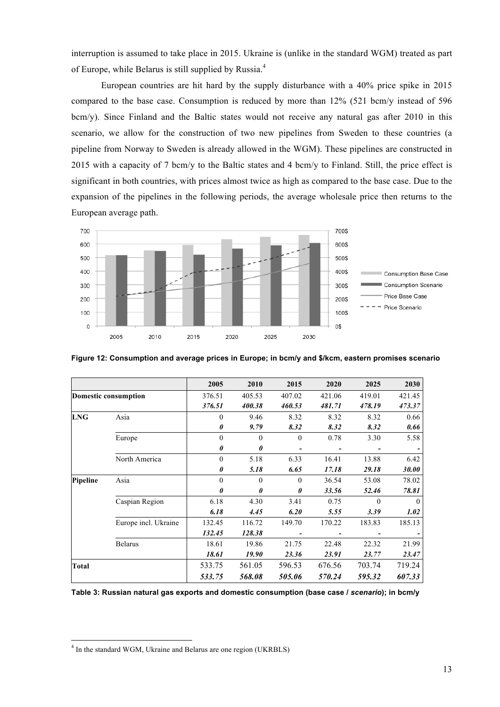interruption is assumed to take place in 2015. Ukraine is (unlike in the standard WGM) treated as part of Europe, while Belarus is still supplied by Russia.<sup>4</sup>

European countries are hit hard by the supply disturbance with a 40% price spike in 2015 compared to the base case. Consumption is reduced by more than 12% (521 bcm/y instead of 596 bcm/y). Since Finland and the Baltic states would not receive any natural gas after 2010 in this scenario, we allow for the construction of two new pipelines from Sweden to these countries (a pipeline from Norway to Sweden is already allowed in the WGM). These pipelines are constructed in 2015 with a capacity of 7 bcm/y to the Baltic states and 4 bcm/y to Finland. Still, the price effect is significant in both countries, with prices almost twice as high as compared to the base case. Due to the expansion of the pipelines in the following periods, the average wholesale price then returns to the European average path.



**Figure 12: Consumption and average prices in Europe; in bcm/y and \$/kcm, eastern promises scenario**

|                             |                      | 2005     | 2010                  | 2015     | 2020   | 2025     | 2030     |
|-----------------------------|----------------------|----------|-----------------------|----------|--------|----------|----------|
| <b>Domestic consumption</b> |                      | 376.51   | 405.53                | 407.02   | 421.06 | 419.01   | 421.45   |
|                             |                      | 376.51   | 400.38                | 460.53   | 481.71 | 478.19   | 473.37   |
| <b>LNG</b>                  | Asia                 | 0        | 9.46                  | 8.32     | 8.32   | 8.32     | 0.66     |
|                             |                      | 0        | 9.79                  | 8.32     | 8.32   | 8.32     | 0.66     |
|                             | Europe               | $\theta$ | $\theta$              | $\theta$ | 0.78   | 3.30     | 5.58     |
|                             |                      | 0        | $\boldsymbol{\theta}$ |          |        |          |          |
|                             | North America        | $\theta$ | 5.18                  | 6.33     | 16.41  | 13.88    | 6.42     |
|                             |                      | 0        | 5.18                  | 6.65     | 17.18  | 29.18    | 30.00    |
| <b>Pipeline</b>             | Asia                 | 0        | $\theta$              | $\theta$ | 36.54  | 53.08    | 78.02    |
|                             |                      | 0        | $\boldsymbol{\theta}$ | 0        | 33.56  | 52.46    | 78.81    |
|                             | Caspian Region       | 6.18     | 4.30                  | 3.41     | 0.75   | $\Omega$ | $\Omega$ |
|                             |                      | 6.18     | 4.45                  | 6.20     | 5.55   | 3.39     | 1.02     |
|                             | Europe incl. Ukraine | 132.45   | 116.72                | 149.70   | 170.22 | 183.83   | 185.13   |
|                             |                      | 132.45   | 128.38                |          |        |          |          |
|                             | <b>Belarus</b>       | 18.61    | 19.86                 | 21.75    | 22.48  | 22.32    | 21.99    |
|                             |                      | 18.61    | 19.90                 | 23.36    | 23.91  | 23.77    | 23.47    |
| <b>Total</b>                |                      | 533.75   | 561.05                | 596.53   | 676.56 | 703.74   | 719.24   |
|                             |                      | 533.75   | 568.08                | 505.06   | 570.24 | 595.32   | 607.33   |

**Table 3: Russian natural gas exports and domestic consumption (base case /** *scenario***); in bcm/y**

 $\frac{1}{4}$  $<sup>4</sup>$  In the standard WGM, Ukraine and Belarus are one region (UKRBLS)</sup>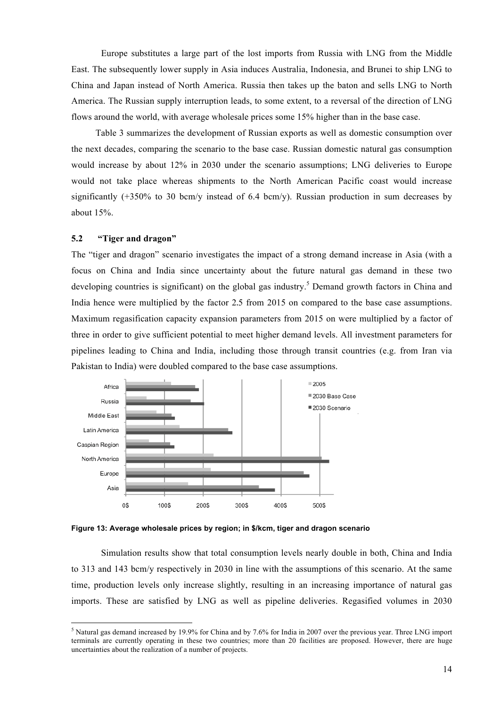Europe substitutes a large part of the lost imports from Russia with LNG from the Middle East. The subsequently lower supply in Asia induces Australia, Indonesia, and Brunei to ship LNG to China and Japan instead of North America. Russia then takes up the baton and sells LNG to North America. The Russian supply interruption leads, to some extent, to a reversal of the direction of LNG flows around the world, with average wholesale prices some 15% higher than in the base case.

Table 3 summarizes the development of Russian exports as well as domestic consumption over the next decades, comparing the scenario to the base case. Russian domestic natural gas consumption would increase by about 12% in 2030 under the scenario assumptions; LNG deliveries to Europe would not take place whereas shipments to the North American Pacific coast would increase significantly  $(+350\%$  to 30 bcm/y instead of 6.4 bcm/y). Russian production in sum decreases by about 15%.

#### **5.2 "Tiger and dragon"**

The "tiger and dragon" scenario investigates the impact of a strong demand increase in Asia (with a focus on China and India since uncertainty about the future natural gas demand in these two developing countries is significant) on the global gas industry.<sup>5</sup> Demand growth factors in China and India hence were multiplied by the factor 2.5 from 2015 on compared to the base case assumptions. Maximum regasification capacity expansion parameters from 2015 on were multiplied by a factor of three in order to give sufficient potential to meet higher demand levels. All investment parameters for pipelines leading to China and India, including those through transit countries (e.g. from Iran via Pakistan to India) were doubled compared to the base case assumptions.



**Figure 13: Average wholesale prices by region; in \$/kcm, tiger and dragon scenario**

Simulation results show that total consumption levels nearly double in both, China and India to 313 and 143 bcm/y respectively in 2030 in line with the assumptions of this scenario. At the same time, production levels only increase slightly, resulting in an increasing importance of natural gas imports. These are satisfied by LNG as well as pipeline deliveries. Regasified volumes in 2030

 <sup>5</sup> <sup>5</sup> Natural gas demand increased by 19.9% for China and by 7.6% for India in 2007 over the previous year. Three LNG import terminals are currently operating in these two countries; more than 20 facilities are proposed. However, there are huge uncertainties about the realization of a number of projects.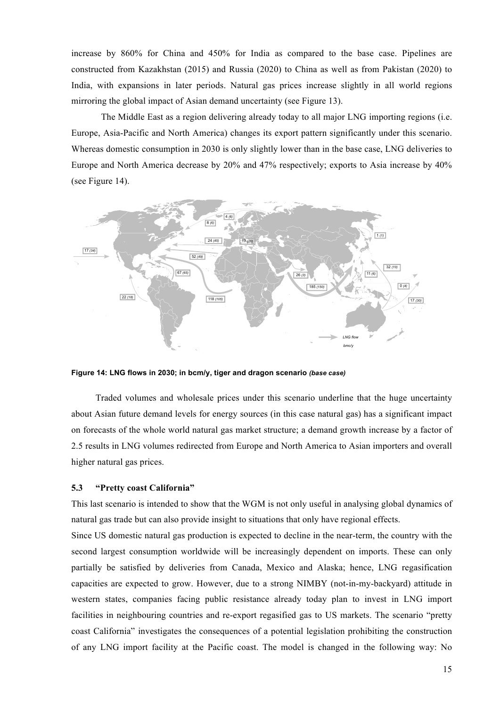increase by 860% for China and 450% for India as compared to the base case. Pipelines are constructed from Kazakhstan (2015) and Russia (2020) to China as well as from Pakistan (2020) to India, with expansions in later periods. Natural gas prices increase slightly in all world regions mirroring the global impact of Asian demand uncertainty (see Figure 13).

The Middle East as a region delivering already today to all major LNG importing regions (i.e. Europe, Asia-Pacific and North America) changes its export pattern significantly under this scenario. Whereas domestic consumption in 2030 is only slightly lower than in the base case, LNG deliveries to Europe and North America decrease by 20% and 47% respectively; exports to Asia increase by 40% (see Figure 14).



**Figure 14: LNG flows in 2030; in bcm/y, tiger and dragon scenario** *(base case)*

Traded volumes and wholesale prices under this scenario underline that the huge uncertainty about Asian future demand levels for energy sources (in this case natural gas) has a significant impact on forecasts of the whole world natural gas market structure; a demand growth increase by a factor of 2.5 results in LNG volumes redirected from Europe and North America to Asian importers and overall higher natural gas prices.

#### **5.3 "Pretty coast California"**

This last scenario is intended to show that the WGM is not only useful in analysing global dynamics of natural gas trade but can also provide insight to situations that only have regional effects.

Since US domestic natural gas production is expected to decline in the near-term, the country with the second largest consumption worldwide will be increasingly dependent on imports. These can only partially be satisfied by deliveries from Canada, Mexico and Alaska; hence, LNG regasification capacities are expected to grow. However, due to a strong NIMBY (not-in-my-backyard) attitude in western states, companies facing public resistance already today plan to invest in LNG import facilities in neighbouring countries and re-export regasified gas to US markets. The scenario "pretty coast California" investigates the consequences of a potential legislation prohibiting the construction of any LNG import facility at the Pacific coast. The model is changed in the following way: No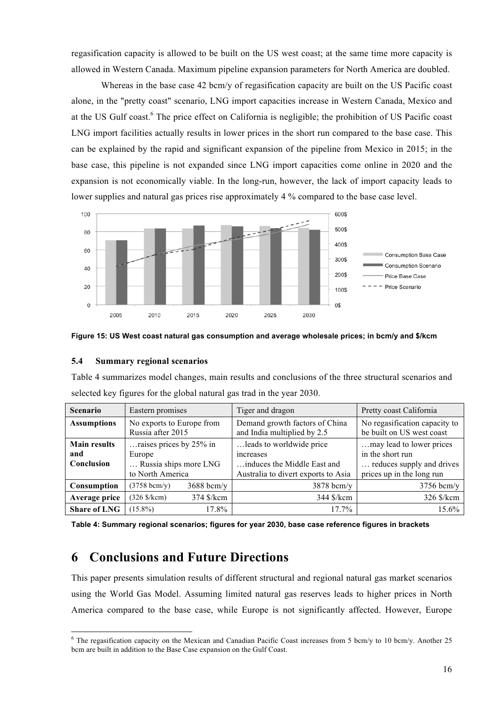regasification capacity is allowed to be built on the US west coast; at the same time more capacity is allowed in Western Canada. Maximum pipeline expansion parameters for North America are doubled.

Whereas in the base case 42 bcm/y of regasification capacity are built on the US Pacific coast alone, in the "pretty coast" scenario, LNG import capacities increase in Western Canada, Mexico and at the US Gulf coast.<sup>6</sup> The price effect on California is negligible; the prohibition of US Pacific coast LNG import facilities actually results in lower prices in the short run compared to the base case. This can be explained by the rapid and significant expansion of the pipeline from Mexico in 2015; in the base case, this pipeline is not expanded since LNG import capacities come online in 2020 and the expansion is not economically viable. In the long-run, however, the lack of import capacity leads to lower supplies and natural gas prices rise approximately 4 % compared to the base case level.



**Figure 15: US West coast natural gas consumption and average wholesale prices; in bcm/y and \$/kcm**

#### **5.4 Summary regional scenarios**

Table 4 summarizes model changes, main results and conclusions of the three structural scenarios and selected key figures for the global natural gas trad in the year 2030.

| <b>Scenario</b>     | Eastern promises                               |              | Tiger and dragon                                              | Pretty coast California                                    |  |
|---------------------|------------------------------------------------|--------------|---------------------------------------------------------------|------------------------------------------------------------|--|
| <b>Assumptions</b>  | No exports to Europe from<br>Russia after 2015 |              | Demand growth factors of China<br>and India multiplied by 2.5 | No regasification capacity to<br>be built on US west coast |  |
| <b>Main results</b> | raises prices by 25% in                        |              | leads to worldwide price                                      | may lead to lower prices                                   |  |
| and                 | Europe                                         |              | <i>ncreases</i>                                               | in the short run                                           |  |
| Conclusion          | Russia ships more LNG                          |              | induces the Middle East and                                   | reduces supply and drives                                  |  |
|                     | to North America                               |              | Australia to divert exports to Asia                           | prices up in the long run                                  |  |
| Consumption         | $(3758 \text{ bcm/y})$                         | $3688$ bcm/y | $3878$ bcm/y                                                  | $3756$ bcm/y                                               |  |
| Average price       | $(326 \text{ S/kcm})$                          | 374 \$/kcm   | 344 \$/kcm                                                    | 326 \$/kcm                                                 |  |
| <b>Share of LNG</b> | $(15.8\%)$                                     | 17.8%        | $17.7\%$                                                      | 15.6%                                                      |  |

**Table 4: Summary regional scenarios; figures for year 2030, base case reference figures in brackets**

## **6 Conclusions and Future Directions**

This paper presents simulation results of different structural and regional natural gas market scenarios using the World Gas Model. Assuming limited natural gas reserves leads to higher prices in North America compared to the base case, while Europe is not significantly affected. However, Europe

 $\frac{1}{6}$  $6$  The regasification capacity on the Mexican and Canadian Pacific Coast increases from 5 bcm/y to 10 bcm/y. Another 25 bcm are built in addition to the Base Case expansion on the Gulf Coast.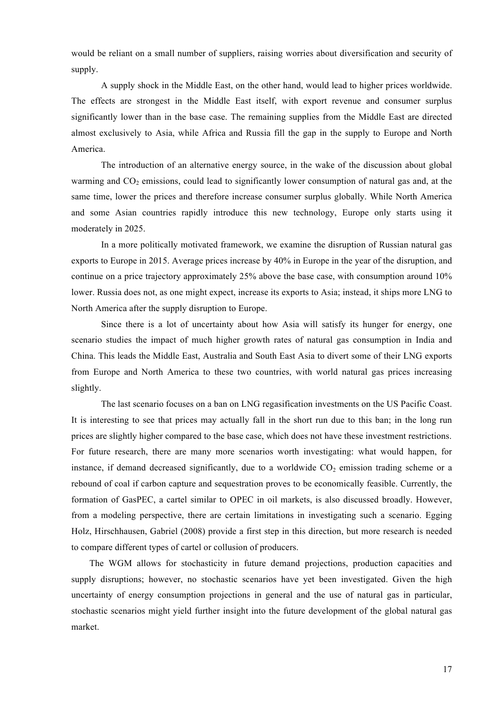would be reliant on a small number of suppliers, raising worries about diversification and security of supply.

A supply shock in the Middle East, on the other hand, would lead to higher prices worldwide. The effects are strongest in the Middle East itself, with export revenue and consumer surplus significantly lower than in the base case. The remaining supplies from the Middle East are directed almost exclusively to Asia, while Africa and Russia fill the gap in the supply to Europe and North America.

The introduction of an alternative energy source, in the wake of the discussion about global warming and  $CO<sub>2</sub>$  emissions, could lead to significantly lower consumption of natural gas and, at the same time, lower the prices and therefore increase consumer surplus globally. While North America and some Asian countries rapidly introduce this new technology, Europe only starts using it moderately in 2025.

In a more politically motivated framework, we examine the disruption of Russian natural gas exports to Europe in 2015. Average prices increase by 40% in Europe in the year of the disruption, and continue on a price trajectory approximately 25% above the base case, with consumption around 10% lower. Russia does not, as one might expect, increase its exports to Asia; instead, it ships more LNG to North America after the supply disruption to Europe.

Since there is a lot of uncertainty about how Asia will satisfy its hunger for energy, one scenario studies the impact of much higher growth rates of natural gas consumption in India and China. This leads the Middle East, Australia and South East Asia to divert some of their LNG exports from Europe and North America to these two countries, with world natural gas prices increasing slightly.

The last scenario focuses on a ban on LNG regasification investments on the US Pacific Coast. It is interesting to see that prices may actually fall in the short run due to this ban; in the long run prices are slightly higher compared to the base case, which does not have these investment restrictions. For future research, there are many more scenarios worth investigating: what would happen, for instance, if demand decreased significantly, due to a worldwide  $CO<sub>2</sub>$  emission trading scheme or a rebound of coal if carbon capture and sequestration proves to be economically feasible. Currently, the formation of GasPEC, a cartel similar to OPEC in oil markets, is also discussed broadly. However, from a modeling perspective, there are certain limitations in investigating such a scenario. Egging Holz, Hirschhausen, Gabriel (2008) provide a first step in this direction, but more research is needed to compare different types of cartel or collusion of producers.

The WGM allows for stochasticity in future demand projections, production capacities and supply disruptions; however, no stochastic scenarios have yet been investigated. Given the high uncertainty of energy consumption projections in general and the use of natural gas in particular, stochastic scenarios might yield further insight into the future development of the global natural gas market.